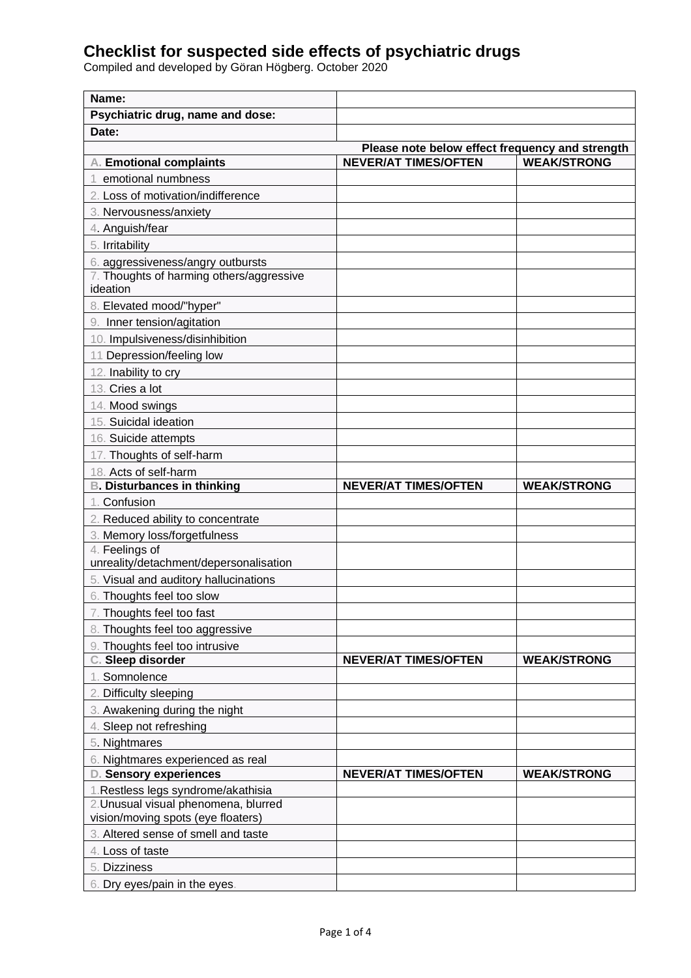Compiled and developed by Göran Högberg. October 2020

| Name:                                    |                                                 |                    |  |  |
|------------------------------------------|-------------------------------------------------|--------------------|--|--|
| Psychiatric drug, name and dose:         |                                                 |                    |  |  |
| Date:                                    |                                                 |                    |  |  |
|                                          | Please note below effect frequency and strength |                    |  |  |
| A. Emotional complaints                  | <b>NEVER/AT TIMES/OFTEN</b>                     | <b>WEAK/STRONG</b> |  |  |
| emotional numbness                       |                                                 |                    |  |  |
| 2. Loss of motivation/indifference       |                                                 |                    |  |  |
| 3. Nervousness/anxiety                   |                                                 |                    |  |  |
| 4. Anguish/fear                          |                                                 |                    |  |  |
| 5. Irritability                          |                                                 |                    |  |  |
| 6. aggressiveness/angry outbursts        |                                                 |                    |  |  |
| 7. Thoughts of harming others/aggressive |                                                 |                    |  |  |
| ideation                                 |                                                 |                    |  |  |
| 8. Elevated mood/"hyper"                 |                                                 |                    |  |  |
| 9. Inner tension/agitation               |                                                 |                    |  |  |
| 10. Impulsiveness/disinhibition          |                                                 |                    |  |  |
| 11 Depression/feeling low                |                                                 |                    |  |  |
| 12. Inability to cry                     |                                                 |                    |  |  |
| 13. Cries a lot                          |                                                 |                    |  |  |
| 14. Mood swings                          |                                                 |                    |  |  |
| 15. Suicidal ideation                    |                                                 |                    |  |  |
| 16. Suicide attempts                     |                                                 |                    |  |  |
| 17. Thoughts of self-harm                |                                                 |                    |  |  |
| 18. Acts of self-harm                    |                                                 |                    |  |  |
| <b>B. Disturbances in thinking</b>       | <b>NEVER/AT TIMES/OFTEN</b>                     | <b>WEAK/STRONG</b> |  |  |
| 1. Confusion                             |                                                 |                    |  |  |
| 2. Reduced ability to concentrate        |                                                 |                    |  |  |
| 3. Memory loss/forgetfulness             |                                                 |                    |  |  |
| 4. Feelings of                           |                                                 |                    |  |  |
| unreality/detachment/depersonalisation   |                                                 |                    |  |  |
| 5. Visual and auditory hallucinations    |                                                 |                    |  |  |
| 6. Thoughts feel too slow                |                                                 |                    |  |  |
| 7. Thoughts feel too fast                |                                                 |                    |  |  |
| 8. Thoughts feel too aggressive          |                                                 |                    |  |  |
| 9. Thoughts feel too intrusive           |                                                 |                    |  |  |
| C. Sleep disorder                        | <b>NEVER/AT TIMES/OFTEN</b>                     | <b>WEAK/STRONG</b> |  |  |
| 1. Somnolence                            |                                                 |                    |  |  |
| 2. Difficulty sleeping                   |                                                 |                    |  |  |
| 3. Awakening during the night            |                                                 |                    |  |  |
| 4. Sleep not refreshing                  |                                                 |                    |  |  |
| 5. Nightmares                            |                                                 |                    |  |  |
| 6. Nightmares experienced as real        |                                                 |                    |  |  |
| D. Sensory experiences                   | <b>NEVER/AT TIMES/OFTEN</b>                     | <b>WEAK/STRONG</b> |  |  |
| 1. Restless legs syndrome/akathisia      |                                                 |                    |  |  |
| 2. Unusual visual phenomena, blurred     |                                                 |                    |  |  |
| vision/moving spots (eye floaters)       |                                                 |                    |  |  |
| 3. Altered sense of smell and taste      |                                                 |                    |  |  |
| 4. Loss of taste                         |                                                 |                    |  |  |
| 5. Dizziness                             |                                                 |                    |  |  |
| 6. Dry eyes/pain in the eyes.            |                                                 |                    |  |  |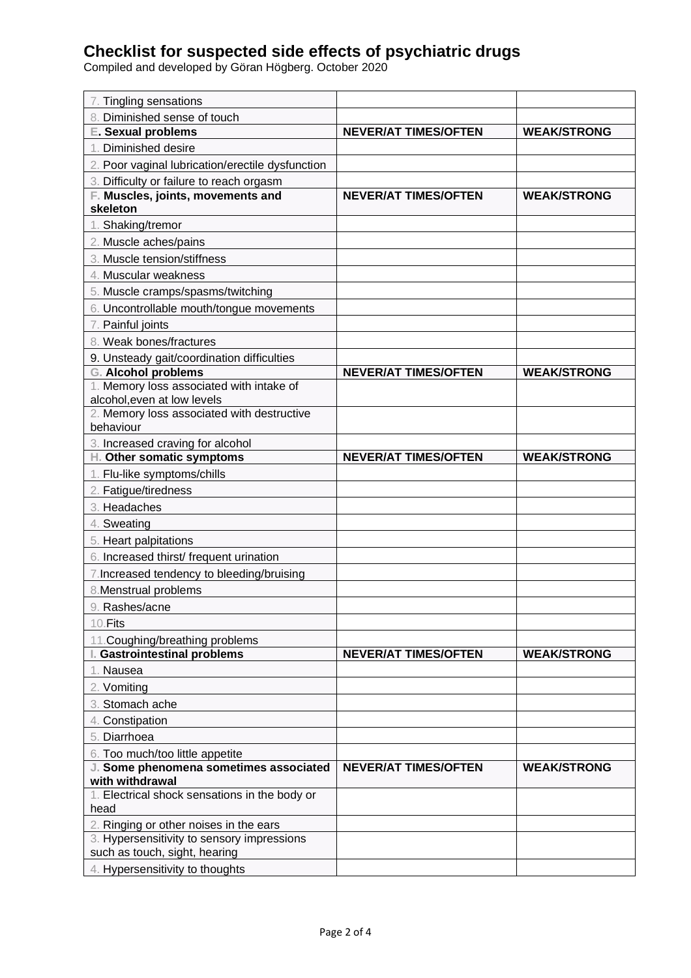Compiled and developed by Göran Högberg. October 2020

| 7. Tingling sensations                                        |                             |                    |
|---------------------------------------------------------------|-----------------------------|--------------------|
| 8. Diminished sense of touch                                  |                             |                    |
| <b>E. Sexual problems</b>                                     | <b>NEVER/AT TIMES/OFTEN</b> | <b>WEAK/STRONG</b> |
| 1. Diminished desire                                          |                             |                    |
| 2. Poor vaginal lubrication/erectile dysfunction              |                             |                    |
| 3. Difficulty or failure to reach orgasm                      |                             |                    |
| F. Muscles, joints, movements and                             | <b>NEVER/AT TIMES/OFTEN</b> | <b>WEAK/STRONG</b> |
| skeleton                                                      |                             |                    |
| 1. Shaking/tremor                                             |                             |                    |
| 2. Muscle aches/pains                                         |                             |                    |
| 3. Muscle tension/stiffness                                   |                             |                    |
| 4. Muscular weakness                                          |                             |                    |
| 5. Muscle cramps/spasms/twitching                             |                             |                    |
| 6. Uncontrollable mouth/tongue movements                      |                             |                    |
| 7. Painful joints                                             |                             |                    |
| 8. Weak bones/fractures                                       |                             |                    |
| 9. Unsteady gait/coordination difficulties                    |                             |                    |
| <b>G. Alcohol problems</b>                                    | <b>NEVER/AT TIMES/OFTEN</b> | <b>WEAK/STRONG</b> |
| 1. Memory loss associated with intake of                      |                             |                    |
| alcohol, even at low levels                                   |                             |                    |
| 2. Memory loss associated with destructive<br>behaviour       |                             |                    |
|                                                               |                             |                    |
| 3. Increased craving for alcohol<br>H. Other somatic symptoms | <b>NEVER/AT TIMES/OFTEN</b> | <b>WEAK/STRONG</b> |
| 1. Flu-like symptoms/chills                                   |                             |                    |
| 2. Fatigue/tiredness                                          |                             |                    |
| 3. Headaches                                                  |                             |                    |
|                                                               |                             |                    |
| 4. Sweating                                                   |                             |                    |
| 5. Heart palpitations                                         |                             |                    |
| 6. Increased thirst/ frequent urination                       |                             |                    |
| 7. Increased tendency to bleeding/bruising                    |                             |                    |
| 8. Menstrual problems                                         |                             |                    |
| 9. Rashes/acne                                                |                             |                    |
| $10.F$ its                                                    |                             |                    |
| 11. Coughing/breathing problems                               |                             |                    |
| <b>Gastrointestinal problems</b>                              | <b>NEVER/AT TIMES/OFTEN</b> | <b>WEAK/STRONG</b> |
| 1. Nausea                                                     |                             |                    |
| 2. Vomiting                                                   |                             |                    |
| 3. Stomach ache                                               |                             |                    |
| 4. Constipation                                               |                             |                    |
| 5. Diarrhoea                                                  |                             |                    |
| 6. Too much/too little appetite                               |                             |                    |
| J. Some phenomena sometimes associated<br>with withdrawal     | <b>NEVER/AT TIMES/OFTEN</b> | <b>WEAK/STRONG</b> |
| 1. Electrical shock sensations in the body or                 |                             |                    |
| head                                                          |                             |                    |
| 2. Ringing or other noises in the ears                        |                             |                    |
| 3. Hypersensitivity to sensory impressions                    |                             |                    |
| such as touch, sight, hearing                                 |                             |                    |
| 4. Hypersensitivity to thoughts                               |                             |                    |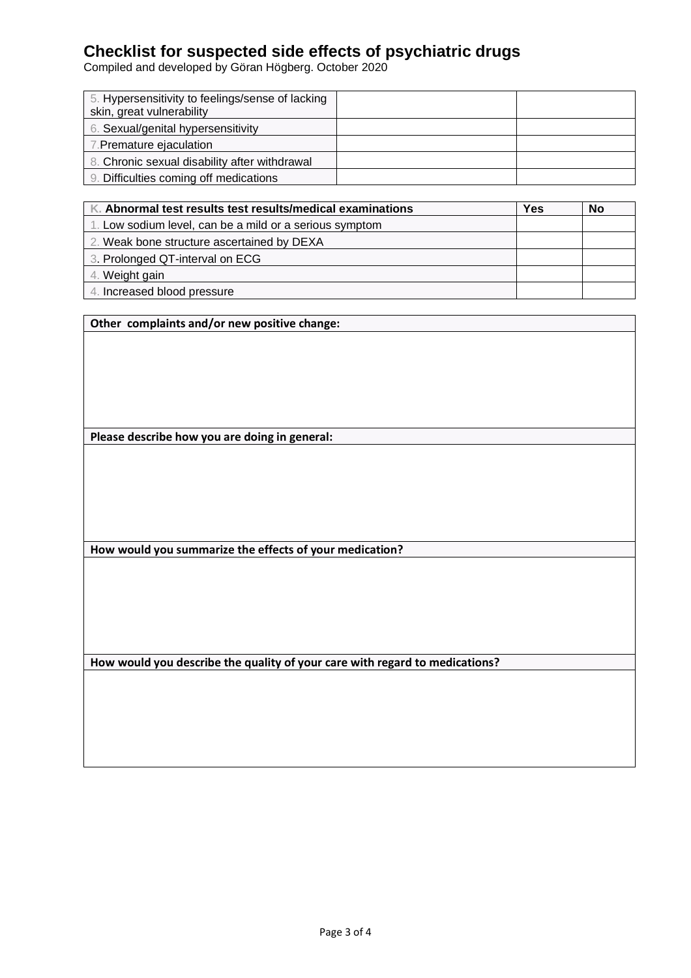Compiled and developed by Göran Högberg. October 2020

| 5. Hypersensitivity to feelings/sense of lacking<br>skin, great vulnerability |  |
|-------------------------------------------------------------------------------|--|
| 6. Sexual/genital hypersensitivity                                            |  |
| 7. Premature ejaculation                                                      |  |
| 8. Chronic sexual disability after withdrawal                                 |  |
| 9. Difficulties coming off medications                                        |  |

| K. Abnormal test results test results/medical examinations |  | No |
|------------------------------------------------------------|--|----|
| 1. Low sodium level, can be a mild or a serious symptom    |  |    |
| 2. Weak bone structure ascertained by DEXA                 |  |    |
| 3. Prolonged QT-interval on ECG                            |  |    |
| 4. Weight gain                                             |  |    |
| Increased blood pressure<br>4.                             |  |    |

**Other complaints and/or new positive change:**

**Please describe how you are doing in general:**

**How would you summarize the effects of your medication?**

**How would you describe the quality of your care with regard to medications?**